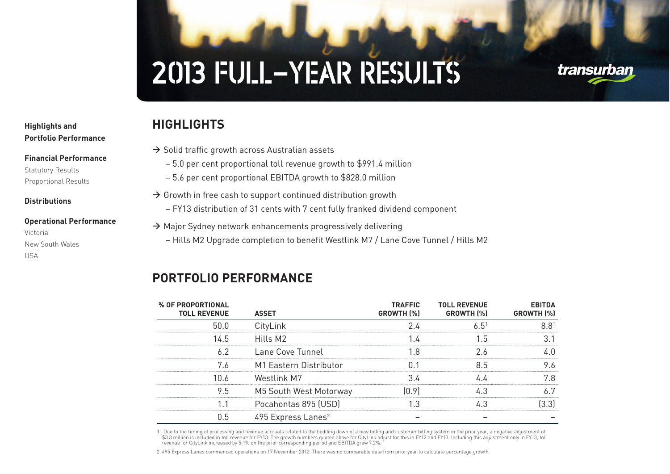## transurban

## **1 Highlights and 2 Portfolio Performance**

#### **3 Financial Performance**

Statutory Results Proportional Results

**4 Distributions**

## **5 Operational Performance** Victoria New South Wales USA

## $\rightarrow$  Solid traffic growth across Australian assets

**HIGHLIGHTS**

- 5.0 per cent proportional toll revenue growth to \$991.4 million
- 5.6 per cent proportional EBITDA growth to \$828.0 million
- $\rightarrow$  Growth in free cash to support continued distribution growth
	- FY13 distribution of 31 cents with 7 cent fully franked dividend component
- $\rightarrow$  Major Sydney network enhancements progressively delivering
	- Hills M2 Upgrade completion to benefit Westlink M7 / Lane Cove Tunnel / Hills M2

## **PORTFOLIO PERFORMANCE**

| % OF PROPORTIONAL<br><b>TOLL REVENUE</b> | <b>ASSET</b>                     | <b>TRAFFIC</b><br>GROWTH (%) | <b>TOLL REVENUE</b><br>GROWTH [%] | <b>EBITDA</b><br>GROWTH (%) |
|------------------------------------------|----------------------------------|------------------------------|-----------------------------------|-----------------------------|
| 50.0                                     | CityLink                         |                              | 6.51                              |                             |
| 145                                      | Hills M2                         |                              | ∣ h                               |                             |
| 62                                       | Lane Cove Tunnel                 | 18                           |                                   |                             |
| 76                                       | M1 Eastern Distributor           |                              | 85                                |                             |
| 1በ 6                                     | Westlink M7                      |                              |                                   |                             |
| 9.5                                      | M5 South West Motorway           | በ 9                          |                                   |                             |
|                                          | Pocahontas 895 (USD)             |                              |                                   |                             |
| 0.5                                      | $495$ Express Lanes <sup>2</sup> |                              |                                   |                             |

1. Due to the timing of processing and revenue accruals related to the bedding down of a new tolling and customer billing system in the prior year, a negative adjustment of \$3.3 million is included in toll revenue for FY13. The growth numbers quoted above for CityLink adjust for this in FY12 and FY13. Including this adjustment only in FY13, toll revenue for CityLink increased by 5.1% on the prior corresponding period and EBITDA grew 7.2%.

2. 495 Express Lanes commenced operations on 17 November 2012. There was no comparable data from prior year to calculate percentage growth.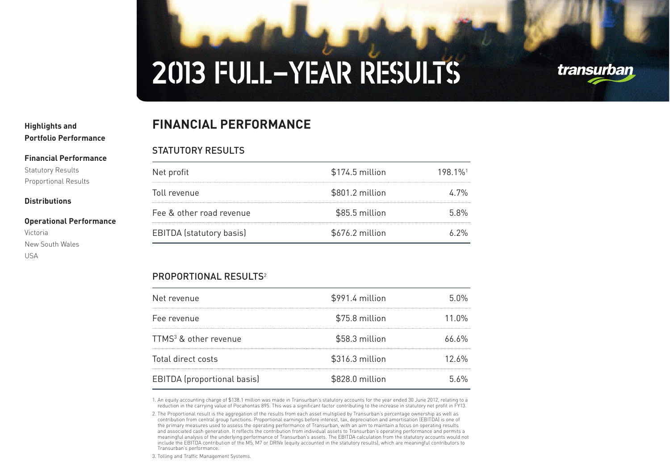## **1 Highlights and 2 Portfolio Performance**

**3 Financial Performance**

Statutory Results Proportional Results

### **4 Distributions**

#### **5 Operational Performance** Victoria

New South Wales USA

## **FINANCIAL PERFORMANCE**

## STATUTORY RESULTS

| Net profit               | $$174.5$ million | 198 1% <sup>1</sup> |
|--------------------------|------------------|---------------------|
| Toll revenue             | \$801.2 million  | /' '/%              |
| Fee & other road revenue | \$85.5 million   | 5.8%                |
| EBITDA (statutory basis) | \$676.2 million  |                     |

## PROPORTIONAL RESULTS<sup>2</sup>

| Net revenue                        | \$991.4 million | 5 በ%  |
|------------------------------------|-----------------|-------|
| Fee revenue                        | \$75.8 million  | 11 በ% |
| TTMS <sup>3</sup> & other revenue  | \$58.3 million  | 66 6% |
| Total direct costs                 | \$316.3 million | 12 6% |
| <b>EBITDA</b> (proportional basis) | \$828.0 million | 5.6%  |

1. An equity accounting charge of \$138.1 million was made in Transurban's statutory accounts for the year ended 30 June 2012, relating to a reduction in the carrying value of Pocahontas 895. This was a significant factor contributing to the increase in statutory net profit in FY13.

3. Tolling and Traffic Management Systems.



<sup>2.</sup> The Proportional result is the aggregation of the results from each asset multiplied by Transurban's percentage ownership as well as<br>contribution from central group functions. Proportional earnings before interest, tax, the primary measures used to assess the operating performance of Transurban, with an aim to maintain a focus on operating results and associated cash generation. It reflects the contribution from individual assets to Transurban's operating performance and permits a meaningful analysis of the underlying performance of Transurban's assets. The EBITDA calculation from the statutory accounts would not include the EBITDA contribution of the M5, M7 or DRIVe (equity accounted in the statutory results), which are meaningful contributors to Transurban's performance.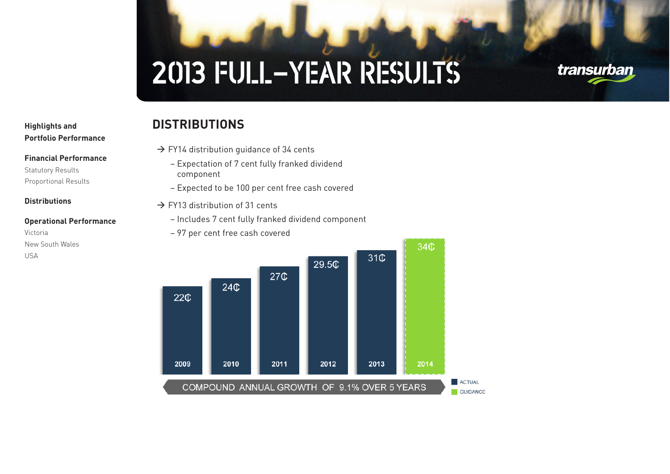## transurban

## **1 Highlights and 2 Portfolio Performance**

**3 Financial Performance**

**5 Operational Performance**

Statutory Results Proportional Results

**4 Distributions**

New South Wales

Victoria

USA

## **DISTRIBUTIONS**

- $\rightarrow$  FY14 distribution guidance of 34 cents
	- Expectation of 7 cent fully franked dividend component
	- Expected to be 100 per cent free cash covered
- $\rightarrow$  FY13 distribution of 31 cents
	- Includes 7 cent fully franked dividend component
	- 97 per cent free cash covered